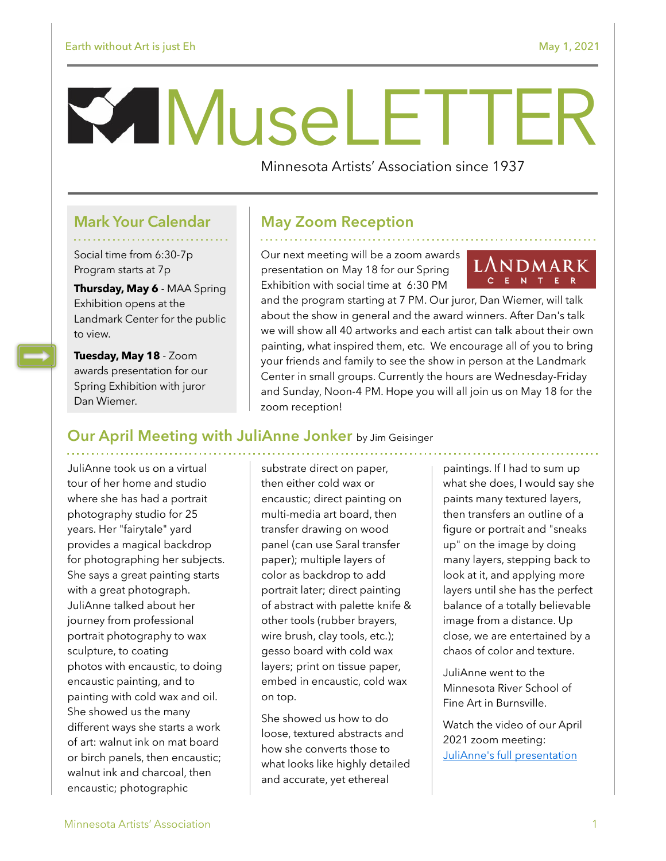# MuseLETTER

Minnesota Artists' Association since 1937

### **Mark Your Calendar**

Social time from 6:30-7p Program starts at 7p

**Thursday, May 6** - MAA Spring Exhibition opens at the Landmark Center for the public to view.

**Tuesday, May 18** - Zoom awards presentation for our Spring Exhibition with juror Dan Wiemer.

## **May Zoom Reception**

Our next meeting will be a zoom awards presentation on May 18 for our Spring Exhibition with social time at 6:30 PM



and the program starting at 7 PM. Our juror, Dan Wiemer, will talk about the show in general and the award winners. After Dan's talk we will show all 40 artworks and each artist can talk about their own painting, what inspired them, etc. We encourage all of you to bring your friends and family to see the show in person at the Landmark Center in small groups. Currently the hours are Wednesday-Friday and Sunday, Noon-4 PM. Hope you will all join us on May 18 for the zoom reception!

## **Our April Meeting with JuliAnne Jonker** by Jim Geisinger

JuliAnne took us on a virtual tour of her home and studio where she has had a portrait photography studio for 25 years. Her "fairytale" yard provides a magical backdrop for photographing her subjects. She says a great painting starts with a great photograph. JuliAnne talked about her journey from professional portrait photography to wax sculpture, to coating photos with encaustic, to doing encaustic painting, and to painting with cold wax and oil. She showed us the many different ways she starts a work of art: walnut ink on mat board or birch panels, then encaustic; walnut ink and charcoal, then encaustic; photographic

substrate direct on paper, then either cold wax or encaustic; direct painting on multi-media art board, then transfer drawing on wood panel (can use Saral transfer paper); multiple layers of color as backdrop to add portrait later; direct painting of abstract with palette knife & other tools (rubber brayers, wire brush, clay tools, etc.); gesso board with cold wax layers; print on tissue paper, embed in encaustic, cold wax on top.

She showed us how to do loose, textured abstracts and how she converts those to what looks like highly detailed and accurate, yet ethereal

paintings. If I had to sum up what she does, I would say she paints many textured layers, then transfers an outline of a figure or portrait and "sneaks up" on the image by doing many layers, stepping back to look at it, and applying more layers until she has the perfect balance of a totally believable image from a distance. Up close, we are entertained by a chaos of color and texture.

JuliAnne went to the Minnesota River School of Fine Art in Burnsville.

Watch the video of our April 2021 zoom meeting: [JuliAnne's full presentation](https://us02web.zoom.us/rec/share/oFu8kRg-iBsOHLs-IBpRHeJGg44noMvzgauEMaUglon2E0z31Ri4UV3vKV1N-7I_.eeiYuvV2c0Wptnvw)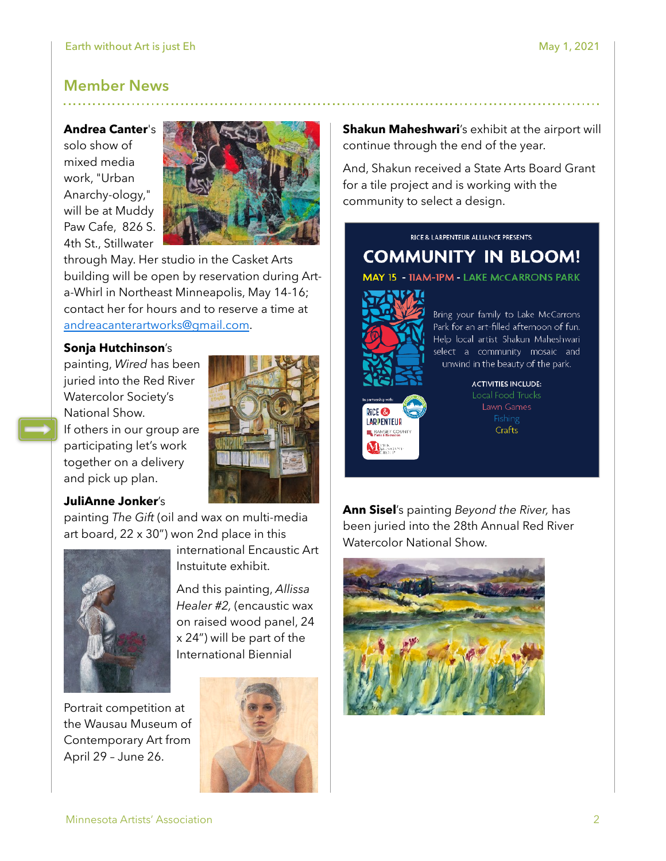## **Member News**

#### **Andrea Canter**'s

solo show of mixed media work, "Urban Anarchy-ology," will be at Muddy Paw Cafe, 826 S. 4th St., Stillwater



through May. Her studio in the Casket Arts building will be open by reservation during Arta-Whirl in Northeast Minneapolis, May 14-16; contact her for hours and to reserve a time at [andreacanterartworks@gmail.com](mailto:andreacanterartworks@gmail.com).

#### **Sonja Hutchinson**'s

painting, *Wired* has been juried into the Red River Watercolor Society's National Show.

If others in our group are participating let's work together on a delivery and pick up plan.

#### **JuliAnne Jonker**'s

painting *The Gift* (oil and wax on multi-media art board, 22 x 30") won 2nd place in this



Portrait competition at the Wausau Museum of Contemporary Art from April 29 – June 26.



international Encaustic Art

And this painting, *Allissa Healer #2,* (encaustic wax on raised wood panel, 24 x 24") will be part of the International Biennial

Instuitute exhibit.

**Shakun Maheshwari's exhibit at the airport will** continue through the end of the year.

And, Shakun received a State Arts Board Grant for a tile project and is working with the community to select a design.